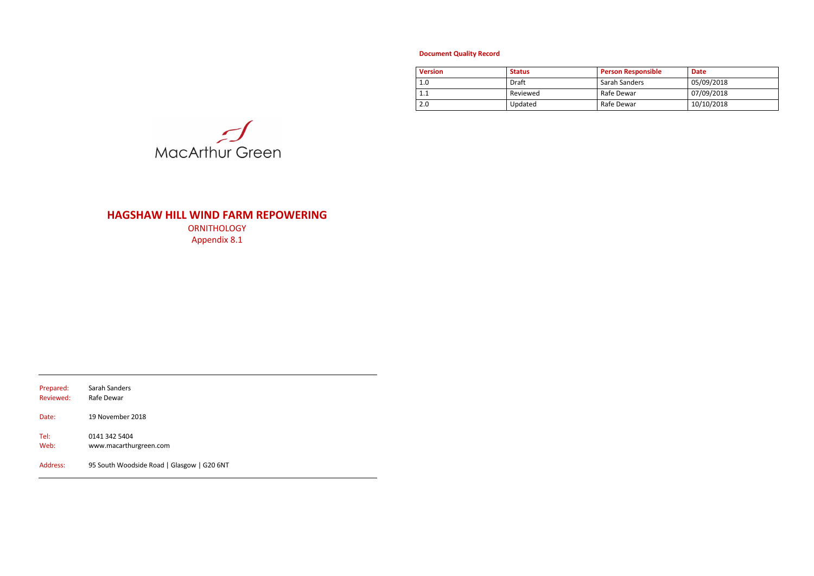# **HAGSHAW HILL WIND FARM REPOWERING**

**ORNITHOLOGY** Appendix 8.1

| Prepared: | Sarah Sanders                              |
|-----------|--------------------------------------------|
| Reviewed: | Rafe Dewar                                 |
| Date:     | 19 November 2018                           |
| Tel:      | 0141 342 5404                              |
| Web:      | www.macarthurgreen.com                     |
| Address:  | 95 South Woodside Road   Glasgow   G20 6NT |

# **Document Quality Record**

| <b>Version</b> | <b>Status</b> | <b>Person Responsible</b> | <b>Date</b> |
|----------------|---------------|---------------------------|-------------|
| 1.0            | Draft         | Sarah Sanders             | 05/09/2018  |
| 1.1            | Reviewed      | Rafe Dewar                | 07/09/2018  |
| 2.0            | Updated       | Rafe Dewar                | 10/10/2018  |

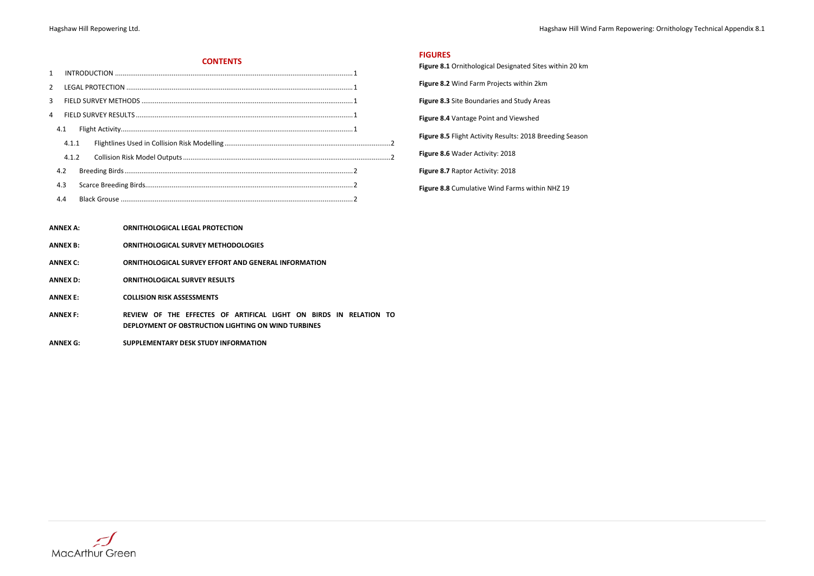#### **CONTENTS**

| $\mathbf{1}$   |       |  |  |
|----------------|-------|--|--|
| $\overline{2}$ |       |  |  |
| 3              |       |  |  |
|                |       |  |  |
|                | 4.1   |  |  |
|                | 4.1.1 |  |  |
|                | 4.1.2 |  |  |
|                | 4.2   |  |  |
|                | 4.3   |  |  |
|                | 4.4   |  |  |

**ANNEX A: ORNITHOLOGICAL LEGAL PROTECTION**

- **ANNEX B: ORNITHOLOGICAL SURVEY METHODOLOGIES**
- **ANNEX C: ORNITHOLOGICAL SURVEY EFFORT AND GENERAL INFORMATION**
- **ANNEX D: ORNITHOLOGICAL SURVEY RESULTS**

**ANNEX E: COLLISION RISK ASSESSMENTS**

- **ANNEX F: REVIEW OF THE EFFECTES OF ARTIFICAL LIGHT ON BIRDS IN RELATION TO DEPLOYMENT OF OBSTRUCTION LIGHTING ON WIND TURBINES**
- **ANNEX G: SUPPLEMENTARY DESK STUDY INFORMATION**



Hagshaw Hill Repowering Ltd. **Hagshaw Hill Wind Farm Repowering: Ornithology Technical Appendix 8.1** 

# **FIGURES Figure 8.1** Ornithological Designated Sites within 20 km **Figure 8.2** Wind Farm Projects within 2km

<span id="page-1-0"></span>**Figure 8.3** Site Boundaries and Study Areas

<span id="page-1-2"></span>**Figure 8.4** Vantage Point and Viewshed

<span id="page-1-1"></span>**Figure 8.5** Flight Activity Results: 2018 Breeding Season

<span id="page-1-3"></span>**Figure 8.6** Wader Activity: 2018

<span id="page-1-4"></span>**Figure 8.7** Raptor Activity: 2018

**Figure 8.8** Cumulative Wind Farms within NHZ 19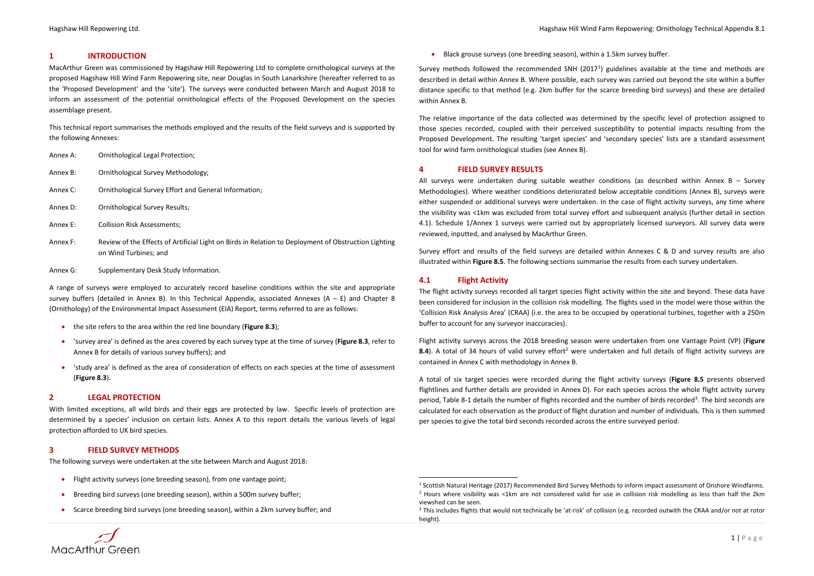Hagshaw Hill Repowering Ltd. Hagshaw Hill Wind Farm Repowering: Ornithology Technical Appendix 8.1

### <span id="page-2-0"></span>**1 INTRODUCTION**

MacArthur Green was commissioned by Hagshaw Hill Repowering Ltd to complete ornithological surveys at the proposed Hagshaw Hill Wind Farm Repowering site, near Douglas in South Lanarkshire (hereafter referred to as the 'Proposed Development' and the 'site'). The surveys were conducted between March and August 2018 to inform an assessment of the potential ornithological effects of the Proposed Development on the species assemblage present.

This technical report summarises the methods employed and the results of the field surveys and is supported by the following Annexes:

| Annex A: | Ornithological Legal Protection; |  |
|----------|----------------------------------|--|
|----------|----------------------------------|--|

- Annex B: Ornithological Survey Methodology;
- Annex C: Ornithological Survey Effort and General Information;
- Annex D: Ornithological Survey Results;
- Annex E: Collision Risk Assessments;
- Annex F: Review of the Effects of Artificial Light on Birds in Relation to Deployment of Obstruction Lighting on Wind Turbines; and
- Annex G: Supplementary Desk Study Information.

- Flight activity surveys (one breeding season), from one vantage point;
- Breeding bird surveys (one breeding season), within a 500m survey buffer;
- Scarce breeding bird surveys (one breeding season), within a 2km survey buffer; and



A range of surveys were employed to accurately record baseline conditions within the site and appropriate survey buffers (detailed in Annex B). In this Technical Appendix, associated Annexes  $(A - E)$  and Chapter 8 (Ornithology) of the Environmental Impact Assessment (EIA) Report, terms referred to are as follows:

Survey methods followed the recommended SNH (20[1](#page-2-6)7<sup>1</sup>) guidelines available at the time and methods are described in detail within Annex B. Where possible, each survey was carried out beyond the site within a buffer distance specific to that method (e.g. 2km buffer for the scarce breeding bird surveys) and these are detailed within Annex B.

- the site refers to the area within the red line boundary (**[Figure 8.3](#page-1-0)**);
- 'survey area' is defined as the area covered by each survey type at the time of survey (**[Figure 8.3](#page-1-0)**, refer to Annex B for details of various survey buffers); and
- 'study area' is defined as the area of consideration of effects on each species at the time of assessment (**[Figure 8.3](#page-1-0)**).

#### <span id="page-2-1"></span>**2 LEGAL PROTECTION**

All surveys were undertaken during suitable weather conditions (as described within Annex B - Survey Methodologies). Where weather conditions deteriorated below acceptable conditions (Annex B), surveys were either suspended or additional surveys were undertaken. In the case of flight activity surveys, any time where the visibility was <1km was excluded from total survey effort and subsequent analysis (further detail in section [4.1\)](#page-2-4). Schedule 1/Annex 1 surveys were carried out by appropriately licensed surveyors. All survey data were reviewed, inputted, and analysed by MacArthur Green.

With limited exceptions, all wild birds and their eggs are protected by law. Specific levels of protection are determined by a species' inclusion on certain lists. Annex A to this report details the various levels of legal protection afforded to UK bird species.

#### <span id="page-2-2"></span>**3 FIELD SURVEY METHODS**

The following surveys were undertaken at the site between March and August 2018:

<span id="page-2-8"></span><span id="page-2-7"></span><span id="page-2-6"></span>• Black grouse surveys (one breeding season), within a 1.5km survey buffer.

The relative importance of the data collected was determined by the specific level of protection assigned to those species recorded, coupled with their perceived susceptibility to potential impacts resulting from the Proposed Development. The resulting 'target species' and 'secondary species' lists are a standard assessment tool for wind farm ornithological studies (see Annex B).

#### <span id="page-2-3"></span>**4 FIELD SURVEY RESULTS**

Survey effort and results of the field surveys are detailed within Annexes C & D and survey results are also illustrated within **[Figure 8.5](#page-1-1)**. The following sections summarise the results from each survey undertaken.

### <span id="page-2-4"></span>**4.1 Flight Activity**

The flight activity surveys recorded all target species flight activity within the site and beyond. These data have been considered for inclusion in the collision risk modelling. The flights used in the model were those within the 'Collision Risk Analysis Area' (CRAA) (i.e. the area to be occupied by operational turbines, together with a 250m buffer to account for any surveyor inaccuracies).

Flight activity surveys across the 2018 breeding season were undertaken from one Vantage Point (VP) (**[Figure](#page-1-2)  [8.4](#page-1-2)**). A total of 34 hours of valid survey effort<sup>[2](#page-2-7)</sup> were undertaken and full details of flight activity surveys are contained in Annex C with methodology in Annex B.

A total of six target species were recorded during the flight activity surveys (**[Figure 8.5](#page-1-1)** presents observed flightlines and further details are provided in Annex D). For each species across the whole flight activity survey period[, Table 8-1](#page-2-5) details the number of flights recorded and the number of birds recorded<sup>[3](#page-2-8)</sup>. The bird seconds are calculated for each observation as the product of flight duration and number of individuals. This is then summed per species to give the total bird seconds recorded across the entire surveyed period.

<span id="page-2-5"></span>1 Scottish Natural Heritage (2017) Recommended Bird Survey Methods to inform impact assessment of Onshore Windfarms.

 $2$  Hours where visibility was <1km are not considered valid for use in collision risk modelling as less than half the 2km viewshed can be seen.

<sup>&</sup>lt;sup>3</sup> This includes flights that would not technically be 'at-risk' of collision (e.g. recorded outwith the CRAA and/or not at rotor height).